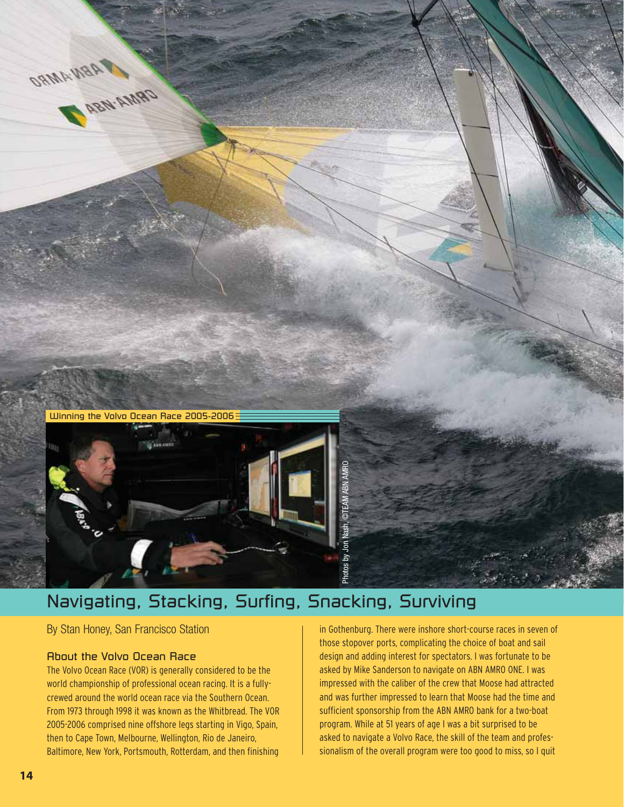

# Navigating, Stacking, Surfing, Snacking, Surviving

By Stan Honey, San Francisco Station

# About the Volvo Ocean Race

The Volvo Ocean Race (VOR) is generally considered to be the world championship of professional ocean racing. It is a fullycrewed around the world ocean race via the Southern Ocean. From 1973 through 1998 it was known as the Whitbread. The VOR 2005-2006 comprised nine offshore legs starting in Vigo, Spain, then to Cape Town, Melbourne, Wellington, Rio de Janeiro, Baltimore, New York, Portsmouth, Rotterdam, and then finishing

in Gothenburg. There were inshore short-course races in seven of those stopover ports, complicating the choice of boat and sail design and adding interest for spectators. I was fortunate to be asked by Mike Sanderson to navigate on ABN AMRO ONE. I was impressed with the caliber of the crew that Moose had attracted and was further impressed to learn that Moose had the time and sufficient sponsorship from the ABN AMRO bank for a two-boat program. While at 51 years of age I was a bit surprised to be asked to navigate a Volvo Race, the skill of the team and professionalism of the overall program were too good to miss, so I quit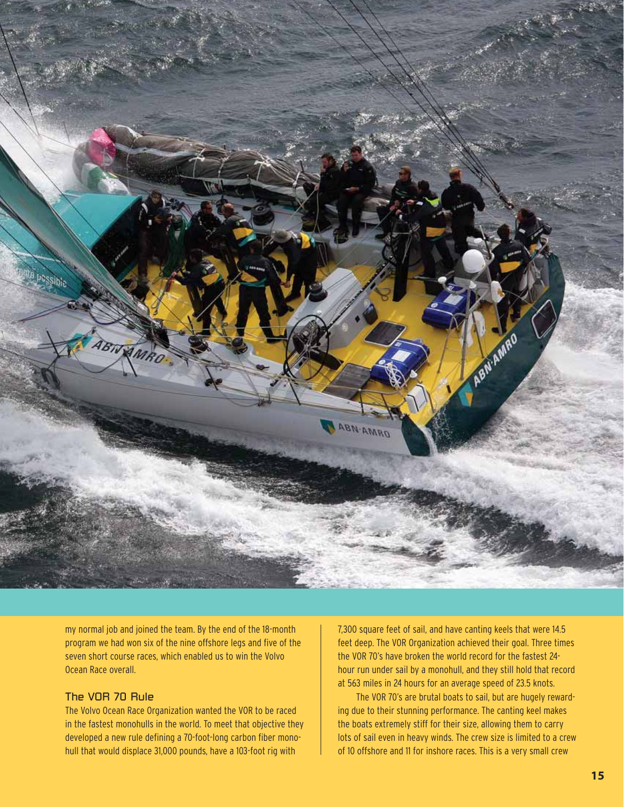

my normal job and joined the team. By the end of the 18-month program we had won six of the nine offshore legs and five of the seven short course races, which enabled us to win the Volvo Ocean Race overall.

# The VOR 70 Rule

The Volvo Ocean Race Organization wanted the VOR to be raced in the fastest monohulls in the world. To meet that objective they developed a new rule defining a 70-foot-long carbon fiber monohull that would displace 31,000 pounds, have a 103-foot rig with

7,300 square feet of sail, and have canting keels that were 14.5 feet deep. The VOR Organization achieved their goal. Three times the VOR 70's have broken the world record for the fastest 24 hour run under sail by a monohull, and they still hold that record at 563 miles in 24 hours for an average speed of 23.5 knots.

The VOR 70's are brutal boats to sail, but are hugely rewarding due to their stunning performance. The canting keel makes the boats extremely stiff for their size, allowing them to carry lots of sail even in heavy winds. The crew size is limited to a crew of 10 offshore and 11 for inshore races. This is a very small crew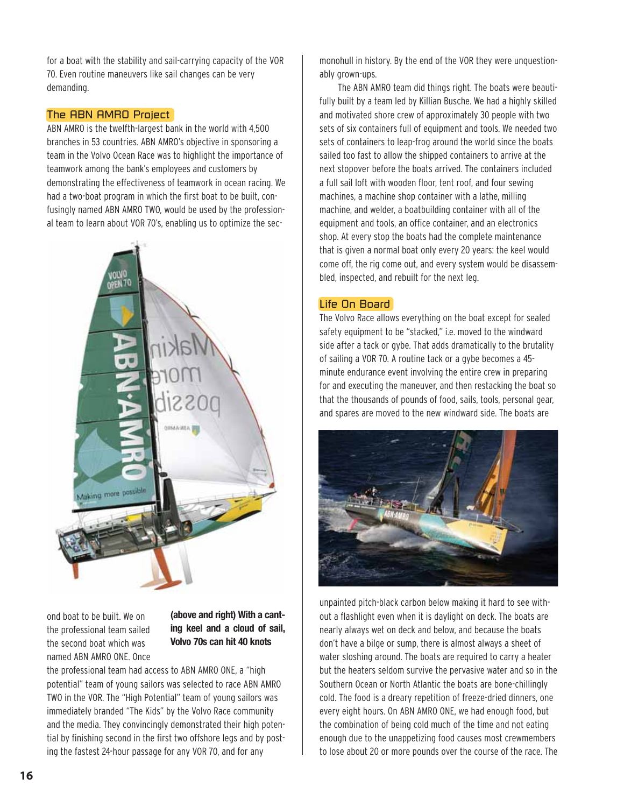for a boat with the stability and sail-carrying capacity of the VOR 70. Even routine maneuvers like sail changes can be very demanding.

# The ABN AMRO Project

ABN AMRO is the twelfth-largest bank in the world with 4,500 branches in 53 countries. ABN AMRO's objective in sponsoring a team in the Volvo Ocean Race was to highlight the importance of teamwork among the bank's employees and customers by demonstrating the effectiveness of teamwork in ocean racing. We had a two-boat program in which the first boat to be built, confusingly named ABN AMRO TWO, would be used by the professional team to learn about VOR 70's, enabling us to optimize the sec-



ond boat to be built. We on the professional team sailed the second boat which was named ABN AMRO ONE. Once

# **(above and right) With a canting keel and a cloud of sail, Volvo 70s can hit 40 knots**

the professional team had access to ABN AMRO ONE, a "high potential" team of young sailors was selected to race ABN AMRO TWO in the VOR. The "High Potential" team of young sailors was immediately branded "The Kids" by the Volvo Race community and the media. They convincingly demonstrated their high potential by finishing second in the first two offshore legs and by posting the fastest 24-hour passage for any VOR 70, and for any

monohull in history. By the end of the VOR they were unquestionably grown-ups.

The ABN AMRO team did things right. The boats were beautifully built by a team led by Killian Busche. We had a highly skilled and motivated shore crew of approximately 30 people with two sets of six containers full of equipment and tools. We needed two sets of containers to leap-frog around the world since the boats sailed too fast to allow the shipped containers to arrive at the next stopover before the boats arrived. The containers included a full sail loft with wooden floor, tent roof, and four sewing machines, a machine shop container with a lathe, milling machine, and welder, a boatbuilding container with all of the equipment and tools, an office container, and an electronics shop. At every stop the boats had the complete maintenance that is given a normal boat only every 20 years: the keel would come off, the rig come out, and every system would be disassembled, inspected, and rebuilt for the next leg.

# Life On Board

The Volvo Race allows everything on the boat except for sealed safety equipment to be "stacked," i.e. moved to the windward side after a tack or gybe. That adds dramatically to the brutality of sailing a VOR 70. A routine tack or a gybe becomes a 45 minute endurance event involving the entire crew in preparing for and executing the maneuver, and then restacking the boat so that the thousands of pounds of food, sails, tools, personal gear, and spares are moved to the new windward side. The boats are



unpainted pitch-black carbon below making it hard to see without a flashlight even when it is daylight on deck. The boats are nearly always wet on deck and below, and because the boats don't have a bilge or sump, there is almost always a sheet of water sloshing around. The boats are required to carry a heater but the heaters seldom survive the pervasive water and so in the Southern Ocean or North Atlantic the boats are bone-chillingly cold. The food is a dreary repetition of freeze-dried dinners, one every eight hours. On ABN AMRO ONE, we had enough food, but the combination of being cold much of the time and not eating enough due to the unappetizing food causes most crewmembers to lose about 20 or more pounds over the course of the race. The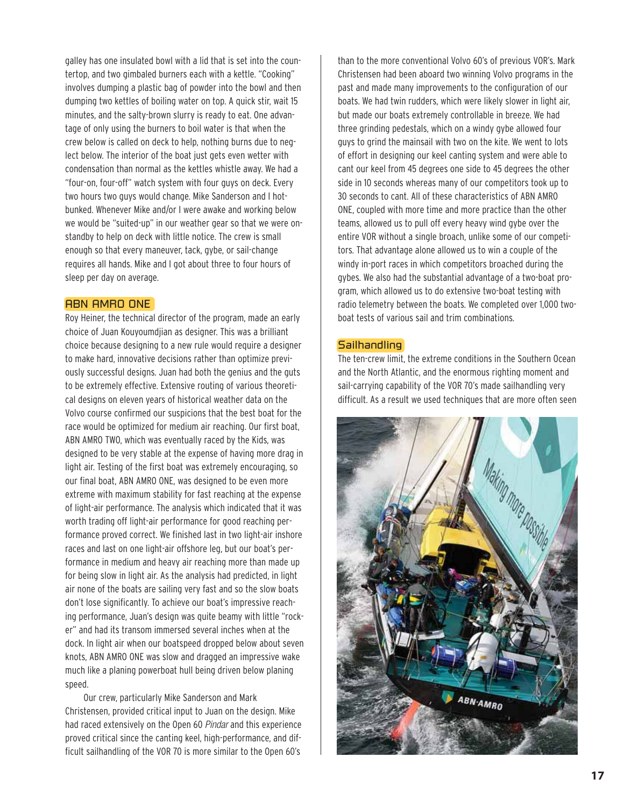galley has one insulated bowl with a lid that is set into the countertop, and two gimbaled burners each with a kettle. "Cooking" involves dumping a plastic bag of powder into the bowl and then dumping two kettles of boiling water on top. A quick stir, wait 15 minutes, and the salty-brown slurry is ready to eat. One advantage of only using the burners to boil water is that when the crew below is called on deck to help, nothing burns due to neglect below. The interior of the boat just gets even wetter with condensation than normal as the kettles whistle away. We had a "four-on, four-off" watch system with four guys on deck. Every two hours two guys would change. Mike Sanderson and I hotbunked. Whenever Mike and/or I were awake and working below we would be "suited-up" in our weather gear so that we were onstandby to help on deck with little notice. The crew is small enough so that every maneuver, tack, gybe, or sail-change requires all hands. Mike and I got about three to four hours of sleep per day on average.

#### ABN AMRO ONE

Roy Heiner, the technical director of the program, made an early choice of Juan Kouyoumdjian as designer. This was a brilliant choice because designing to a new rule would require a designer to make hard, innovative decisions rather than optimize previously successful designs. Juan had both the genius and the guts to be extremely effective. Extensive routing of various theoretical designs on eleven years of historical weather data on the Volvo course confirmed our suspicions that the best boat for the race would be optimized for medium air reaching. Our first boat, ABN AMRO TWO, which was eventually raced by the Kids, was designed to be very stable at the expense of having more drag in light air. Testing of the first boat was extremely encouraging, so our final boat, ABN AMRO ONE, was designed to be even more extreme with maximum stability for fast reaching at the expense of light-air performance. The analysis which indicated that it was worth trading off light-air performance for good reaching performance proved correct. We finished last in two light-air inshore races and last on one light-air offshore leg, but our boat's performance in medium and heavy air reaching more than made up for being slow in light air. As the analysis had predicted, in light air none of the boats are sailing very fast and so the slow boats don't lose significantly. To achieve our boat's impressive reaching performance, Juan's design was quite beamy with little "rocker" and had its transom immersed several inches when at the dock. In light air when our boatspeed dropped below about seven knots, ABN AMRO ONE was slow and dragged an impressive wake much like a planing powerboat hull being driven below planing speed.

Our crew, particularly Mike Sanderson and Mark Christensen, provided critical input to Juan on the design. Mike had raced extensively on the Open 60 Pindar and this experience proved critical since the canting keel, high-performance, and difficult sailhandling of the VOR 70 is more similar to the Open 60's than to the more conventional Volvo 60's of previous VOR's. Mark Christensen had been aboard two winning Volvo programs in the past and made many improvements to the configuration of our boats. We had twin rudders, which were likely slower in light air, but made our boats extremely controllable in breeze. We had three grinding pedestals, which on a windy gybe allowed four guys to grind the mainsail with two on the kite. We went to lots of effort in designing our keel canting system and were able to cant our keel from 45 degrees one side to 45 degrees the other side in 10 seconds whereas many of our competitors took up to 30 seconds to cant. All of these characteristics of ABN AMRO ONE, coupled with more time and more practice than the other teams, allowed us to pull off every heavy wind gybe over the entire VOR without a single broach, unlike some of our competitors. That advantage alone allowed us to win a couple of the windy in-port races in which competitors broached during the gybes. We also had the substantial advantage of a two-boat program, which allowed us to do extensive two-boat testing with radio telemetry between the boats. We completed over 1,000 twoboat tests of various sail and trim combinations.

#### Sailhandling

The ten-crew limit, the extreme conditions in the Southern Ocean and the North Atlantic, and the enormous righting moment and sail-carrying capability of the VOR 70's made sailhandling very difficult. As a result we used techniques that are more often seen

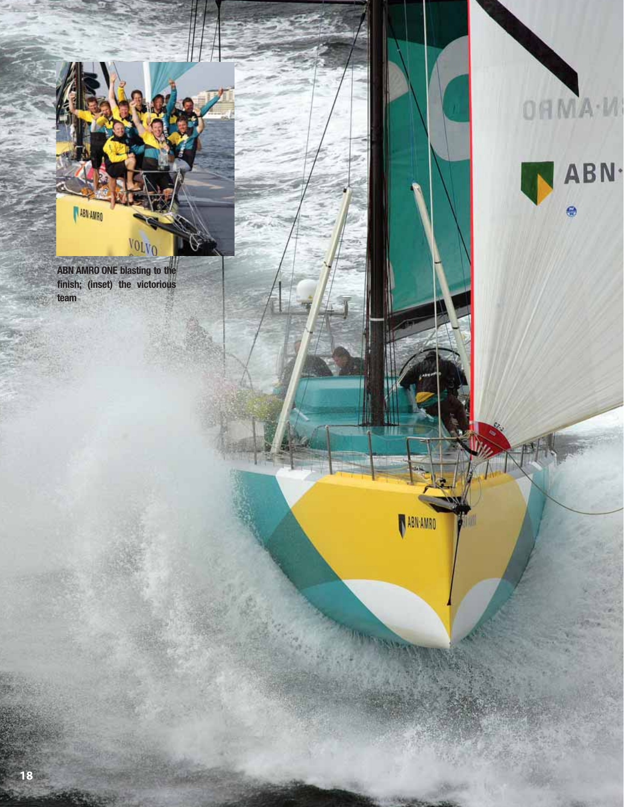**VOLVO ABN AMRO ONE blasting to the finish; (inset) the victorious team**

**ABN:AMRO** 



OHMA-M

ABN AMRO

豐

**TOP TO SALE**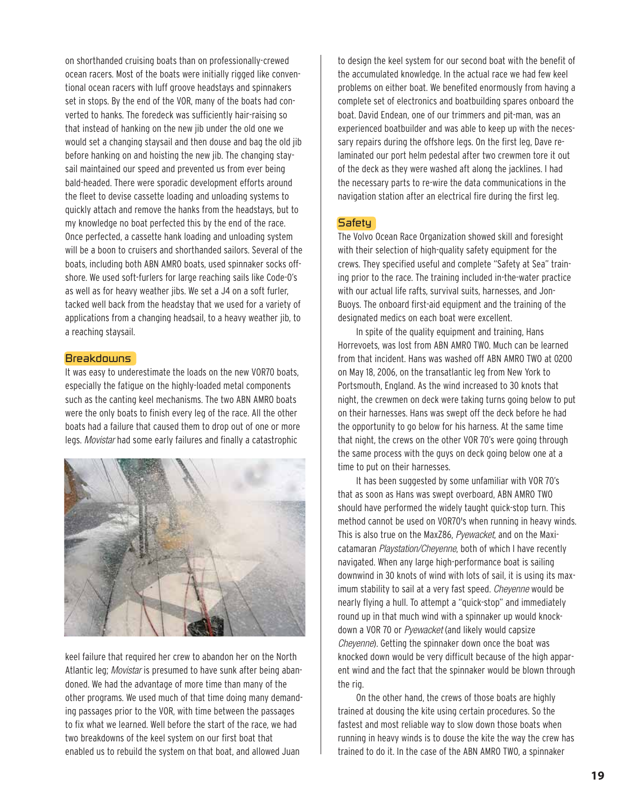on shorthanded cruising boats than on professionally-crewed ocean racers. Most of the boats were initially rigged like conventional ocean racers with luff groove headstays and spinnakers set in stops. By the end of the VOR, many of the boats had converted to hanks. The foredeck was sufficiently hair-raising so that instead of hanking on the new jib under the old one we would set a changing staysail and then douse and bag the old jib before hanking on and hoisting the new jib. The changing staysail maintained our speed and prevented us from ever being bald-headed. There were sporadic development efforts around the fleet to devise cassette loading and unloading systems to quickly attach and remove the hanks from the headstays, but to my knowledge no boat perfected this by the end of the race. Once perfected, a cassette hank loading and unloading system will be a boon to cruisers and shorthanded sailors. Several of the boats, including both ABN AMRO boats, used spinnaker socks offshore. We used soft-furlers for large reaching sails like Code-0's as well as for heavy weather jibs. We set a J4 on a soft furler, tacked well back from the headstay that we used for a variety of applications from a changing headsail, to a heavy weather jib, to a reaching staysail.

#### **Breakdowns**

It was easy to underestimate the loads on the new VOR70 boats, especially the fatigue on the highly-loaded metal components such as the canting keel mechanisms. The two ABN AMRO boats were the only boats to finish every leg of the race. All the other boats had a failure that caused them to drop out of one or more legs. Movistar had some early failures and finally a catastrophic



keel failure that required her crew to abandon her on the North Atlantic leg; Movistar is presumed to have sunk after being abandoned. We had the advantage of more time than many of the other programs. We used much of that time doing many demanding passages prior to the VOR, with time between the passages to fix what we learned. Well before the start of the race, we had two breakdowns of the keel system on our first boat that enabled us to rebuild the system on that boat, and allowed Juan

to design the keel system for our second boat with the benefit of the accumulated knowledge. In the actual race we had few keel problems on either boat. We benefited enormously from having a complete set of electronics and boatbuilding spares onboard the boat. David Endean, one of our trimmers and pit-man, was an experienced boatbuilder and was able to keep up with the necessary repairs during the offshore legs. On the first leg, Dave relaminated our port helm pedestal after two crewmen tore it out of the deck as they were washed aft along the jacklines. I had the necessary parts to re-wire the data communications in the navigation station after an electrical fire during the first leg.

# Safety

The Volvo Ocean Race Organization showed skill and foresight with their selection of high-quality safety equipment for the crews. They specified useful and complete "Safety at Sea" training prior to the race. The training included in-the-water practice with our actual life rafts, survival suits, harnesses, and Jon-Buoys. The onboard first-aid equipment and the training of the designated medics on each boat were excellent.

In spite of the quality equipment and training, Hans Horrevoets, was lost from ABN AMRO TWO. Much can be learned from that incident. Hans was washed off ABN AMRO TWO at 0200 on May 18, 2006, on the transatlantic leg from New York to Portsmouth, England. As the wind increased to 30 knots that night, the crewmen on deck were taking turns going below to put on their harnesses. Hans was swept off the deck before he had the opportunity to go below for his harness. At the same time that night, the crews on the other VOR 70's were going through the same process with the guys on deck going below one at a time to put on their harnesses.

It has been suggested by some unfamiliar with VOR 70's that as soon as Hans was swept overboard, ABN AMRO TWO should have performed the widely taught quick-stop turn. This method cannot be used on VOR70's when running in heavy winds. This is also true on the MaxZ86, Pyewacket, and on the Maxicatamaran Playstation/Cheyenne, both of which I have recently navigated. When any large high-performance boat is sailing downwind in 30 knots of wind with lots of sail, it is using its maximum stability to sail at a very fast speed. Cheyenne would be nearly flying a hull. To attempt a "quick-stop" and immediately round up in that much wind with a spinnaker up would knockdown a VOR 70 or Pyewacket (and likely would capsize Cheyenne). Getting the spinnaker down once the boat was knocked down would be very difficult because of the high apparent wind and the fact that the spinnaker would be blown through the rig.

On the other hand, the crews of those boats are highly trained at dousing the kite using certain procedures. So the fastest and most reliable way to slow down those boats when running in heavy winds is to douse the kite the way the crew has trained to do it. In the case of the ABN AMRO TWO, a spinnaker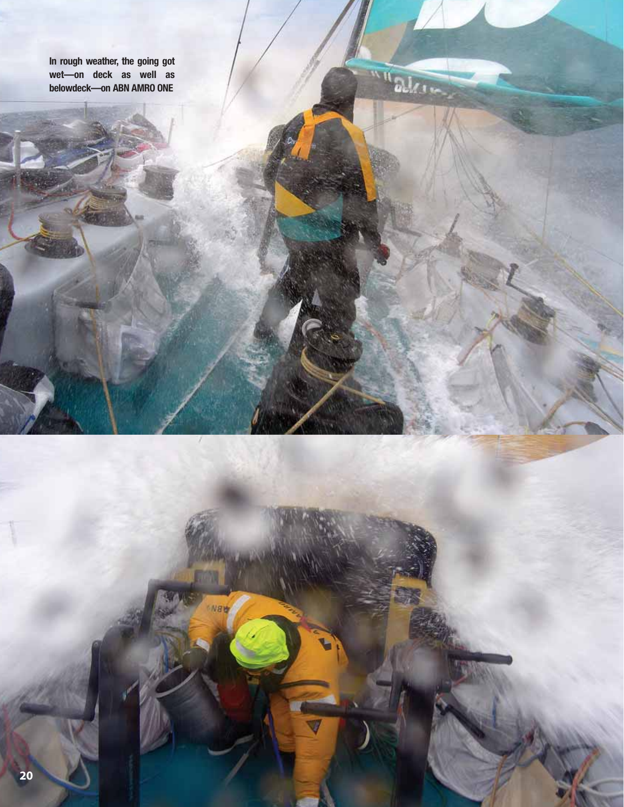**In rough weather, the going got wet—on deck as well as belowdeck—on ABN AMRO ONE**

NBW

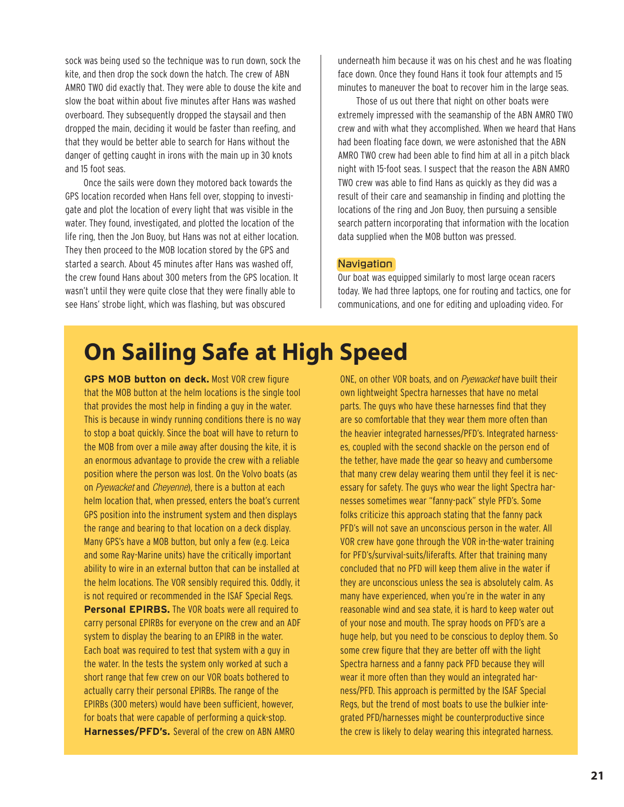sock was being used so the technique was to run down, sock the kite, and then drop the sock down the hatch. The crew of ABN AMRO TWO did exactly that. They were able to douse the kite and slow the boat within about five minutes after Hans was washed overboard. They subsequently dropped the staysail and then dropped the main, deciding it would be faster than reefing, and that they would be better able to search for Hans without the danger of getting caught in irons with the main up in 30 knots and 15 foot seas.

Once the sails were down they motored back towards the GPS location recorded when Hans fell over, stopping to investigate and plot the location of every light that was visible in the water. They found, investigated, and plotted the location of the life ring, then the Jon Buoy, but Hans was not at either location. They then proceed to the MOB location stored by the GPS and started a search. About 45 minutes after Hans was washed off, the crew found Hans about 300 meters from the GPS location. It wasn't until they were quite close that they were finally able to see Hans' strobe light, which was flashing, but was obscured

underneath him because it was on his chest and he was floating face down. Once they found Hans it took four attempts and 15 minutes to maneuver the boat to recover him in the large seas.

Those of us out there that night on other boats were extremely impressed with the seamanship of the ABN AMRO TWO crew and with what they accomplished. When we heard that Hans had been floating face down, we were astonished that the ABN AMRO TWO crew had been able to find him at all in a pitch black night with 15-foot seas. I suspect that the reason the ABN AMRO TWO crew was able to find Hans as quickly as they did was a result of their care and seamanship in finding and plotting the locations of the ring and Jon Buoy, then pursuing a sensible search pattern incorporating that information with the location data supplied when the MOB button was pressed.

#### **Navigation**

Our boat was equipped similarly to most large ocean racers today. We had three laptops, one for routing and tactics, one for communications, and one for editing and uploading video. For

# **On Sailing Safe at High Speed**

**GPS MOB button on deck.** Most VOR crew figure that the MOB button at the helm locations is the single tool that provides the most help in finding a guy in the water. This is because in windy running conditions there is no way to stop a boat quickly. Since the boat will have to return to the MOB from over a mile away after dousing the kite, it is an enormous advantage to provide the crew with a reliable position where the person was lost. On the Volvo boats (as on Pyewacket and Cheyenne), there is a button at each helm location that, when pressed, enters the boat's current GPS position into the instrument system and then displays the range and bearing to that location on a deck display. Many GPS's have a MOB button, but only a few (e.g. Leica and some Ray-Marine units) have the critically important ability to wire in an external button that can be installed at the helm locations. The VOR sensibly required this. Oddly, it is not required or recommended in the ISAF Special Regs. **Personal EPIRBS.** The VOR boats were all required to carry personal EPIRBs for everyone on the crew and an ADF system to display the bearing to an EPIRB in the water. Each boat was required to test that system with a guy in the water. In the tests the system only worked at such a short range that few crew on our VOR boats bothered to actually carry their personal EPIRBs. The range of the EPIRBs (300 meters) would have been sufficient, however, for boats that were capable of performing a quick-stop. **Harnesses/PFD's.** Several of the crew on ABN AMRO

ONE, on other VOR boats, and on Pyewacket have built their own lightweight Spectra harnesses that have no metal parts. The guys who have these harnesses find that they are so comfortable that they wear them more often than the heavier integrated harnesses/PFD's. Integrated harnesses, coupled with the second shackle on the person end of the tether, have made the gear so heavy and cumbersome that many crew delay wearing them until they feel it is necessary for safety. The guys who wear the light Spectra harnesses sometimes wear "fanny-pack" style PFD's. Some folks criticize this approach stating that the fanny pack PFD's will not save an unconscious person in the water. All VOR crew have gone through the VOR in-the-water training for PFD's/survival-suits/liferafts. After that training many concluded that no PFD will keep them alive in the water if they are unconscious unless the sea is absolutely calm. As many have experienced, when you're in the water in any reasonable wind and sea state, it is hard to keep water out of your nose and mouth. The spray hoods on PFD's are a huge help, but you need to be conscious to deploy them. So some crew figure that they are better off with the light Spectra harness and a fanny pack PFD because they will wear it more often than they would an integrated harness/PFD. This approach is permitted by the ISAF Special Regs, but the trend of most boats to use the bulkier integrated PFD/harnesses might be counterproductive since the crew is likely to delay wearing this integrated harness.